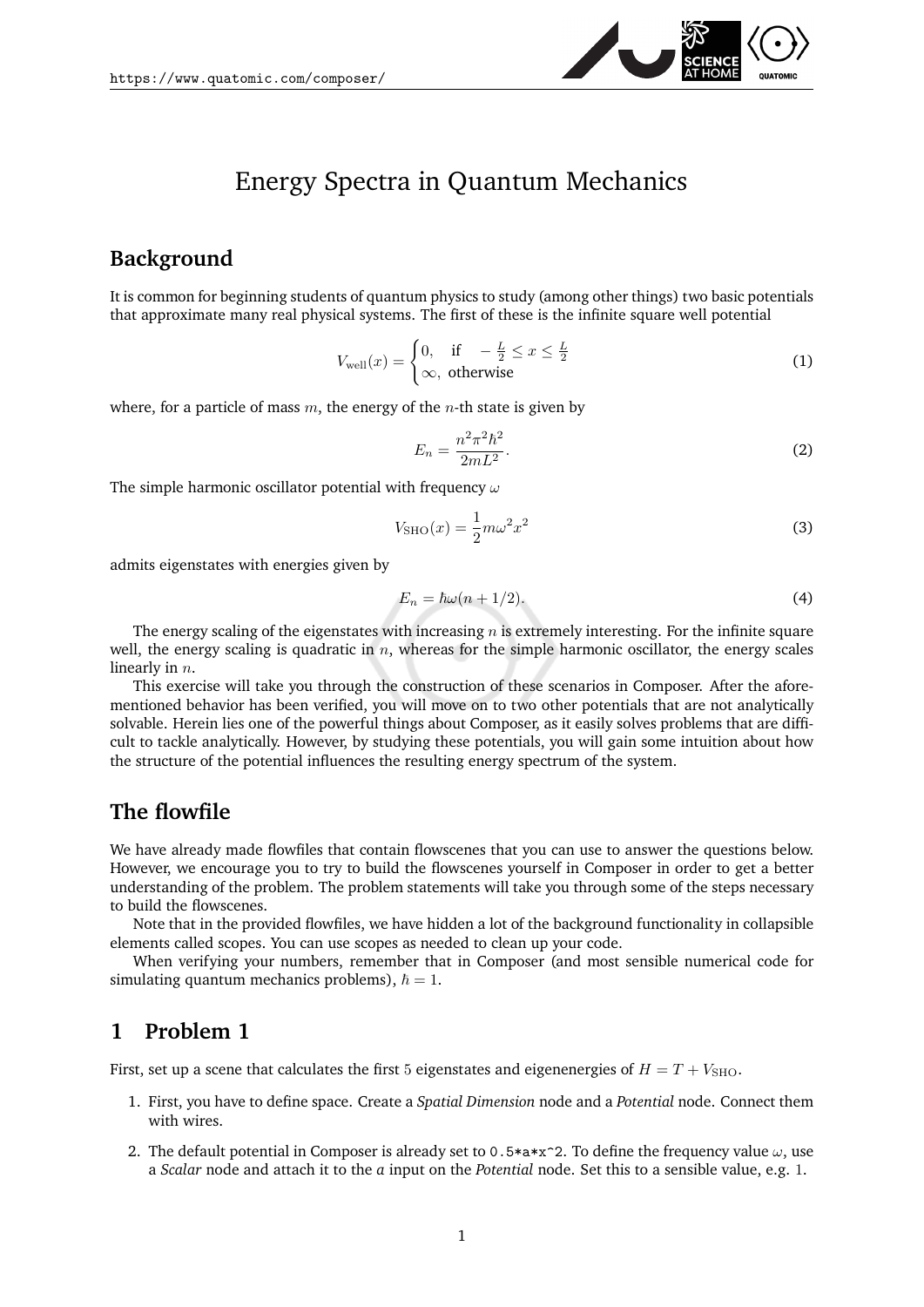

# Energy Spectra in Quantum Mechanics

## **Background**

It is common for beginning students of quantum physics to study (among other things) two basic potentials that approximate many real physical systems. The first of these is the infinite square well potential

$$
V_{\text{well}}(x) = \begin{cases} 0, & \text{if } -\frac{L}{2} \le x \le \frac{L}{2} \\ \infty, & \text{otherwise} \end{cases} \tag{1}
$$

where, for a particle of mass  $m$ , the energy of the *n*-th state is given by

$$
E_n = \frac{n^2 \pi^2 \hbar^2}{2mL^2}.
$$
\n<sup>(2)</sup>

The simple harmonic oscillator potential with frequency  $\omega$ 

$$
V_{\text{SHO}}(x) = \frac{1}{2}m\omega^2 x^2\tag{3}
$$

admits eigenstates with energies given by

<span id="page-0-0"></span>
$$
E_n = \hbar\omega(n + 1/2). \tag{4}
$$

The energy scaling of the eigenstates with increasing  $n$  is extremely interesting. For the infinite square well, the energy scaling is quadratic in  $n$ , whereas for the simple harmonic oscillator, the energy scales linearly in  $n$ .

This exercise will take you through the construction of these scenarios in Composer. After the aforementioned behavior has been verified, you will move on to two other potentials that are not analytically solvable. Herein lies one of the powerful things about Composer, as it easily solves problems that are difficult to tackle analytically. However, by studying these potentials, you will gain some intuition about how the structure of the potential influences the resulting energy spectrum of the system.

#### **The flowfile**

We have already made flowfiles that contain flowscenes that you can use to answer the questions below. However, we encourage you to try to build the flowscenes yourself in Composer in order to get a better understanding of the problem. The problem statements will take you through some of the steps necessary to build the flowscenes.

Note that in the provided flowfiles, we have hidden a lot of the background functionality in collapsible elements called scopes. You can use scopes as needed to clean up your code.

When verifying your numbers, remember that in Composer (and most sensible numerical code for simulating quantum mechanics problems),  $\hbar = 1$ .

## **1 Problem 1**

First, set up a scene that calculates the first 5 eigenstates and eigenenergies of  $H = T + V<sub>SHO</sub>$ .

- 1. First, you have to define space. Create a *Spatial Dimension* node and a *Potential* node. Connect them with wires.
- 2. The default potential in Composer is already set to 0.5\*a\*x^2. To define the frequency value  $\omega$ , use a *Scalar* node and attach it to the *a* input on the *Potential* node. Set this to a sensible value, e.g. 1.